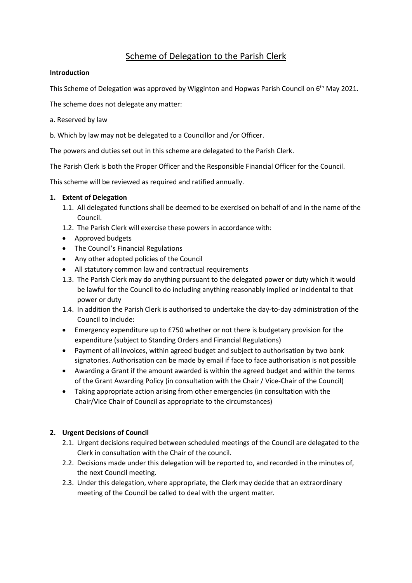# Scheme of Delegation to the Parish Clerk

#### **Introduction**

This Scheme of Delegation was approved by Wigginton and Hopwas Parish Council on 6<sup>th</sup> May 2021.

The scheme does not delegate any matter:

- a. Reserved by law
- b. Which by law may not be delegated to a Councillor and /or Officer.

The powers and duties set out in this scheme are delegated to the Parish Clerk.

The Parish Clerk is both the Proper Officer and the Responsible Financial Officer for the Council.

This scheme will be reviewed as required and ratified annually.

## **1. Extent of Delegation**

- 1.1. All delegated functions shall be deemed to be exercised on behalf of and in the name of the Council.
- 1.2. The Parish Clerk will exercise these powers in accordance with:
- Approved budgets
- The Council's Financial Regulations
- Any other adopted policies of the Council
- All statutory common law and contractual requirements
- 1.3. The Parish Clerk may do anything pursuant to the delegated power or duty which it would be lawful for the Council to do including anything reasonably implied or incidental to that power or duty
- 1.4. In addition the Parish Clerk is authorised to undertake the day-to-day administration of the Council to include:
- Emergency expenditure up to £750 whether or not there is budgetary provision for the expenditure (subject to Standing Orders and Financial Regulations)
- Payment of all invoices, within agreed budget and subject to authorisation by two bank signatories. Authorisation can be made by email if face to face authorisation is not possible
- Awarding a Grant if the amount awarded is within the agreed budget and within the terms of the Grant Awarding Policy (in consultation with the Chair / Vice-Chair of the Council)
- Taking appropriate action arising from other emergencies (in consultation with the Chair/Vice Chair of Council as appropriate to the circumstances)

## **2. Urgent Decisions of Council**

- 2.1. Urgent decisions required between scheduled meetings of the Council are delegated to the Clerk in consultation with the Chair of the council.
- 2.2. Decisions made under this delegation will be reported to, and recorded in the minutes of, the next Council meeting.
- 2.3. Under this delegation, where appropriate, the Clerk may decide that an extraordinary meeting of the Council be called to deal with the urgent matter.